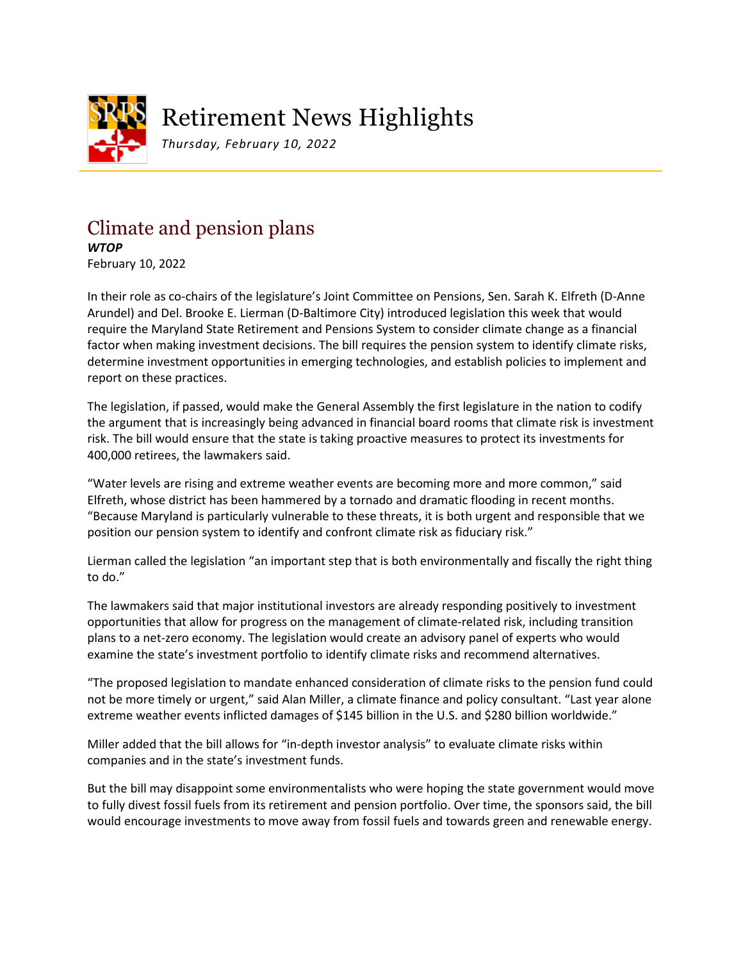

## Retirement News Highlights

*Thursday, February 10, 2022*

## Climate and pension plans *WTOP*

February 10, 2022

In their role as co-chairs of the legislature's Joint Committee on Pensions, Sen. Sarah K. Elfreth (D-Anne Arundel) and Del. Brooke E. Lierman (D-Baltimore City) introduced legislation this week that would require the Maryland State Retirement and Pensions System to consider climate change as a financial factor when making investment decisions. The bill requires the pension system to identify climate risks, determine investment opportunities in emerging technologies, and establish policies to implement and report on these practices.

The legislation, if passed, would make the General Assembly the first legislature in the nation to codify the argument that is increasingly being advanced in financial board rooms that climate risk is investment risk. The bill would ensure that the state is taking proactive measures to protect its investments for 400,000 retirees, the lawmakers said.

"Water levels are rising and extreme weather events are becoming more and more common," said Elfreth, whose district has been hammered by a tornado and dramatic flooding in recent months. "Because Maryland is particularly vulnerable to these threats, it is both urgent and responsible that we position our pension system to identify and confront climate risk as fiduciary risk."

Lierman called the legislation "an important step that is both environmentally and fiscally the right thing to do."

The lawmakers said that major institutional investors are already responding positively to investment opportunities that allow for progress on the management of climate-related risk, including transition plans to a net-zero economy. The legislation would create an advisory panel of experts who would examine the state's investment portfolio to identify climate risks and recommend alternatives.

"The proposed legislation to mandate enhanced consideration of climate risks to the pension fund could not be more timely or urgent," said Alan Miller, a climate finance and policy consultant. "Last year alone extreme weather events inflicted damages of \$145 billion in the U.S. and \$280 billion worldwide."

Miller added that the bill allows for "in-depth investor analysis" to evaluate climate risks within companies and in the state's investment funds.

But the bill may disappoint some environmentalists who were hoping the state government would move to fully divest fossil fuels from its retirement and pension portfolio. Over time, the sponsors said, the bill would encourage investments to move away from fossil fuels and towards green and renewable energy.